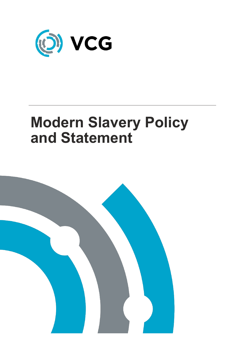

# **Modern Slavery Policy and Statement**

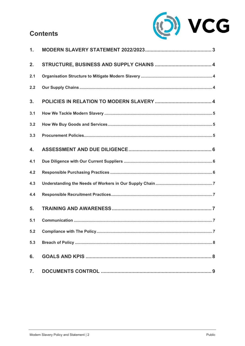# **Contents**



| $\mathbf{1}$ . |  |
|----------------|--|
| 2.             |  |
| 2.1            |  |
| 2.2            |  |
| 3.             |  |
| 3.1            |  |
| 3.2            |  |
| 3.3            |  |
| 4.             |  |
| 4.1            |  |
| 4.2            |  |
| 4.3            |  |
| 4.4            |  |
| 5.             |  |
| 5.1            |  |
|                |  |
| 5.3            |  |
| 6.             |  |
| 7.             |  |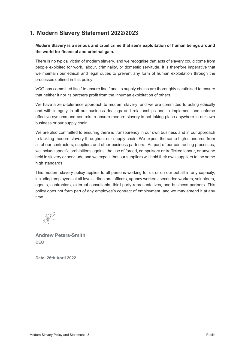# <span id="page-2-0"></span>**1. Modern Slavery Statement 2022/2023**

## Modern Slavery is a serious and cruel crime that see's exploitation of human beings around **the world for financial and criminal gain.**

There is no typical victim of modern slavery, and we recognise that acts of slavery could come from people exploited for work, labour, criminality, or domestic servitude. It is therefore imperative that we maintain our ethical and legal duties to prevent any form of human exploitation through the processes defined in this policy.

VCG has committed itself to ensure itself and its supply chains are thoroughly scrutinised to ensure that neither it nor its partners profit from the inhuman exploitation of others.

We have a zero-tolerance approach to modern slavery, and we are committed to acting ethically and with integrity in all our business dealings and relationships and to implement and enforce effective systems and controls to ensure modern slavery is not taking place anywhere in our own business or our supply chain.

We are also committed to ensuring there is transparency in our own business and in our approach to tackling modern slavery throughout our supply chain. We expect the same high standards from all of our contractors, suppliers and other business partners. As part of our contracting processes, we include specific prohibitions against the use of forced, compulsory or trafficked labour, or anyone held in slavery or servitude and we expect that our suppliers will hold their own suppliers to the same high standards.

This modern slavery policy applies to all persons working for us or on our behalf in any capacity, including employees at all levels, directors, officers, agency workers, seconded workers, volunteers, agents, contractors, external consultants, third-party representatives, and business partners. This policy does not form part of any employee's contract of employment, and we may amend it at any time.

**Andrew Peters-Smith CEO**

**Date: 26th April 2022**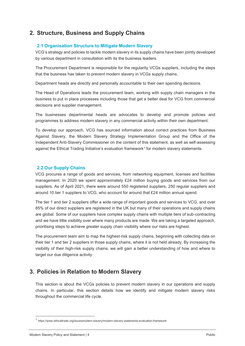# <span id="page-3-0"></span>**2. Structure, Business and Supply Chains**

## <span id="page-3-1"></span>**2.1 Organisation Structure to Mitigate Modern Slavery**

VCG's strategy and policies to tackle modern slavery in its supply chains have been jointly developed by various department in consultation with its the business leaders.

The Procurement Department is responsible for the regularity VCGs suppliers, including the steps that the business has taken to prevent modern slavery in VCGs supply chains.

Department heads are directly and personally accountable to their own spending decisions.

The Head of Operations leads the procurement team, working with supply chain managers in the business to put in place processes including those that get a better deal for VCG from commercial decisions and supplier management.

The businesses departmental heads are advocates to develop and promote policies and programmes to address modern slavery in any commercial activity within their own department.

To develop our approach, VCG has sourced information about correct practices from Business Against Slavery, the Modern Slavery Strategy Implementation Group and the Office of the Independent Anti-Slavery Commissioner on the content of this statement, as well as self-assessing against the Ethical Trading Initiative's evaluation framework<sup>1</sup> for modern slavery statements.

#### <span id="page-3-2"></span>**2.2 Our Supply Chains**

VCG procures a range of goods and services, from networking equipment, licenses and facilities management. In 2020 we spent approximately £24 million buying goods and services from our suppliers. As of April 2021, there were around 550 registered suppliers, 250 regular suppliers and around 10 tier 1 suppliers to VCG, who account for around that £24 million annual spend.

The tier 1 and tier 2 suppliers offer a wide range of important goods and services to VCG, and over 85% of our direct suppliers are registered in the UK but many of their operations and supply chains are global. Some of our suppliers have complex supply chains with multiple tiers of sub-contracting and we have little visibility over where many products are made. We are taking a targeted approach, prioritising steps to achieve greater supply chain visibility where our risks are highest.

The procurement team aim to map the highest-risk supply chains, beginning with collecting data on their tier 1 and tier 2 suppliers in those supply chains, where it is not held already. By increasing the visibility of their high-risk supply chains, we will gain a better understanding of how and where to target our due diligence activity.

## <span id="page-3-3"></span>**3. Policies in Relation to Modern Slavery**

This section is about the VCGs policies to prevent modern slavery in our operations and supply chains. In particular, this section details how we identify and mitigate modern slavery risks throughout the commercial life cycle.

<sup>1</sup> https://www.ethicaltrade.org/issuesmodern-slavery/modern-slavery-statements-evaluation-framework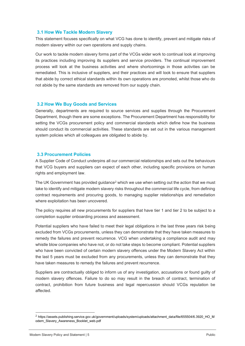#### <span id="page-4-0"></span>**3.1 How We Tackle Modern Slavery**

This statement focuses specifically on what VCG has done to identify, prevent and mitigate risks of modern slavery within our own operations and supply chains.

Our work to tackle modern slavery forms part of the VCGs wider work to continual look at improving its practices including improving its suppliers and service providers. The continual improvement process will look at the business activities and where shortcomings in those activities can be remediated. This is inclusive of suppliers, and their practices and will look to ensure that suppliers that abide by correct ethical standards within its own operations are promoted, whilst those who do not abide by the same standards are removed from our supply chain.

#### <span id="page-4-1"></span>**3.2 How We Buy Goods and Services**

Generally, departments are required to source services and supplies through the Procurement Department, though there are some exceptions. The Procurement Department has responsibility for setting the VCGs procurement policy and commercial standards which define how the business should conduct its commercial activities. These standards are set out in the various management system policies which all colleagues are obligated to abide by.

#### <span id="page-4-2"></span>**3.3 Procurement Policies**

A Supplier Code of Conduct underpins all our commercial relationships and sets out the behaviours that VCG buyers and suppliers can expect of each other, including specific provisions on human rights and employment law.

The UK Government has provided quidance<sup>2</sup> which we use when setting out the action that we must take to identify and mitigate modern slavery risks throughout the commercial life cycle, from defining contract requirements and procuring goods, to managing supplier relationships and remediation where exploitation has been uncovered.

The policy requires all new procurements for suppliers that have tier 1 and tier 2 to be subject to a completion supplier onboarding process and assessment.

Potential suppliers who have failed to meet their legal obligations in the last three years risk being excluded from VCGs procurements, unless they can demonstrate that they have taken measures to remedy the failures and prevent recurrence. VCG when undertaking a compliance audit and may whistle blow companies who have not, or do not take steps to become compliant. Potential suppliers who have been convicted of certain modern slavery offences under the Modern Slavery Act within the last 5 years must be excluded from any procurements, unless they can demonstrate that they have taken measures to remedy the failures and prevent recurrence.

Suppliers are contractually obliged to inform us of any investigation, accusations or found guilty of modern slavery offences. Failure to do so may result in the breach of contract, termination of contract, prohibition from future business and legal repercussion should VCGs reputation be affected.

<sup>2</sup> [https://assets.publishing.service.gov.uk/government/uploads/system/uploads/attachment\\_data/file/655504/6.3920\\_HO\\_M](https://assets.publishing.service.gov.uk/government/uploads/system/uploads/attachment_data/file/655504/6.3920_HO_Modern_Slavery_Awareness_Booklet_web.pdf) [odern\\_Slavery\\_Awareness\\_Booklet\\_web.pdf](https://assets.publishing.service.gov.uk/government/uploads/system/uploads/attachment_data/file/655504/6.3920_HO_Modern_Slavery_Awareness_Booklet_web.pdf)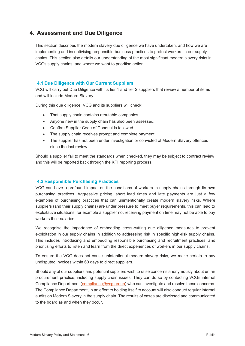# <span id="page-5-0"></span>**4. Assessment and Due Diligence**

This section describes the modern slavery due diligence we have undertaken, and how we are implementing and incentivising responsible business practices to protect workers in our supply chains. This section also details our understanding of the most significant modern slavery risks in VCGs supply chains, and where we want to prioritise action.

## <span id="page-5-1"></span>**4.1 Due Diligence with Our Current Suppliers**

VCG will carry out Due Diligence with its tier 1 and tier 2 suppliers that review a number of items and will include Modern Slavery.

During this due diligence, VCG and its suppliers will check:

- That supply chain contains reputable companies.
- Anyone new in the supply chain has also been assessed.
- Confirm Supplier Code of Conduct is followed.
- The supply chain receives prompt and complete payment.
- The supplier has not been under investigation or convicted of Modern Slavery offences since the last review.

Should a supplier fail to meet the standards when checked, they may be subject to contract review and this will be reported back through the KPI reporting process,

## <span id="page-5-2"></span>**4.2 Responsible Purchasing Practices**

VCG can have a profound impact on the conditions of workers in supply chains through its own purchasing practices. Aggressive pricing, short lead times and late payments are just a few examples of purchasing practices that can unintentionally create modern slavery risks. Where suppliers (and their supply chains) are under pressure to meet buyer requirements, this can lead to exploitative situations, for example a supplier not receiving payment on time may not be able to pay workers their salaries.

We recognise the importance of embedding cross-cutting due diligence measures to prevent exploitation in our supply chains in addition to addressing risk in specific high-risk supply chains. This includes introducing and embedding responsible purchasing and recruitment practices, and prioritising efforts to listen and learn from the direct experiences of workers in our supply chains.

To ensure the VCG does not cause unintentional modern slavery risks, we make certain to pay undisputed invoices within 60 days to direct suppliers.

Should any of our suppliers and potential suppliers wish to raise concerns anonymously about unfair procurement practice, including supply chain issues. They can do so by contacting VCGs internal Compliance Department [\(compliance@vcg.group\)](mailto:compliance@vcg.group) who can investigate and resolve these concerns. The Compliance Department, in an effort to holding itself to account will also conduct regular internal audits on Modern Slavery in the supply chain. The results of cases are disclosed and communicated to the board as and when they occur.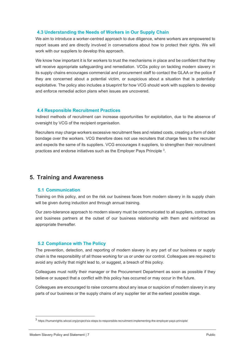#### <span id="page-6-0"></span>**4.3 Understanding the Needs of Workers in Our Supply Chain**

We aim to introduce a worker-centred approach to due diligence, where workers are empowered to report issues and are directly involved in conversations about how to protect their rights. We will work with our suppliers to develop this approach.

We know how important it is for workers to trust the mechanisms in place and be confident that they will receive appropriate safeguarding and remediation. VCGs policy on tackling modern slavery in its supply chains encourages commercial and procurement staff to contact the GLAA or the police if they are concerned about a potential victim, or suspicious about a situation that is potentially exploitative. The policy also includes a blueprint for how VCG should work with suppliers to develop and enforce remedial action plans when issues are uncovered.

#### <span id="page-6-1"></span>**4.4 Responsible Recruitment Practices**

Indirect methods of recruitment can increase opportunities for exploitation, due to the absence of oversight by VCG of the recipient organisation.

Recruiters may charge workers excessive recruitment fees and related costs, creating a form of debt bondage over the workers. VCG therefore does not use recruiters that charge fees to the recruiter and expects the same of its suppliers. VCG encourages it suppliers, to strengthen their recruitment practices and endorse initiatives such as the Employer Pays Principle 3.

## <span id="page-6-2"></span>**5. Training and Awareness**

## <span id="page-6-3"></span>**5.1 Communication**

Training on this policy, and on the risk our business faces from modern slavery in its supply chain will be given during induction and through annual training.

Our zero-tolerance approach to modern slavery must be communicated to all suppliers, contractors and business partners at the outset of our business relationship with them and reinforced as appropriate thereafter.

## <span id="page-6-4"></span>**5.2 Compliance with The Policy**

The prevention, detection, and reporting of modern slavery in any part of our business or supply chain is the responsibility of all those working for us or under our control. Colleagues are required to avoid any activity that might lead to, or suggest, a breach of this policy.

Colleagues must notify their manager or the Procurement Department as soon as possible if they believe or suspect that a conflict with this policy has occurred or may occur in the future.

Colleagues are encouraged to raise concerns about any issue or suspicion of modern slavery in any parts of our business or the supply chains of any supplier tier at the earliest possible stage.

<sup>3</sup> https://humanrights.wbcsd.org/project/six-steps-to-responsible-recruitment-implementing-the-employer-pays-principle/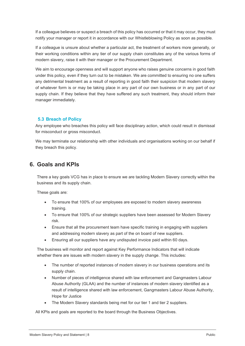If a colleague believes or suspect a breach of this policy has occurred or that it may occur, they must notify your manager or report it in accordance with our Whistleblowing Policy as soon as possible.

If a colleague is unsure about whether a particular act, the treatment of workers more generally, or their working conditions within any tier of our supply chain constitutes any of the various forms of modern slavery, raise it with their manager or the Procurement Department.

We aim to encourage openness and will support anyone who raises genuine concerns in good faith under this policy, even if they turn out to be mistaken. We are committed to ensuring no one suffers any detrimental treatment as a result of reporting in good faith their suspicion that modern slavery of whatever form is or may be taking place in any part of our own business or in any part of our supply chain. If they believe that they have suffered any such treatment, they should inform their manager immediately.

## <span id="page-7-0"></span>**5.3 Breach of Policy**

Any employee who breaches this policy will face disciplinary action, which could result in dismissal for misconduct or gross misconduct.

We may terminate our relationship with other individuals and organisations working on our behalf if they breach this policy.

## <span id="page-7-1"></span>**6. Goals and KPIs**

There a key goals VCG has in place to ensure we are tackling Modern Slavery correctly within the business and its supply chain.

These goals are:

- To ensure that 100% of our employees are exposed to modern slavery awareness training.
- To ensure that 100% of our strategic suppliers have been assessed for Modern Slavery risk.
- Ensure that all the procurement team have specific training in engaging with suppliers and addressing modern slavery as part of the on board of new suppliers.
- Ensuring all our suppliers have any undisputed invoice paid within 60 days.

The business will monitor and report against Key Performance Indicators that will indicate whether there are issues with modern slavery in the supply change. This includes:

- The number of reported instances of modern slavery in our business operations and its supply chain.
- Number of pieces of intelligence shared with law enforcement and Gangmasters Labour Abuse Authority (GLAA) and the number of instances of modern slavery identified as a result of intelligence shared with law enforcement, Gangmasters Labour Abuse Authority, Hope for Justice
- The Modern Slavery standards being met for our tier 1 and tier 2 suppliers.

All KPIs and goals are reported to the board through the Business Objectives.